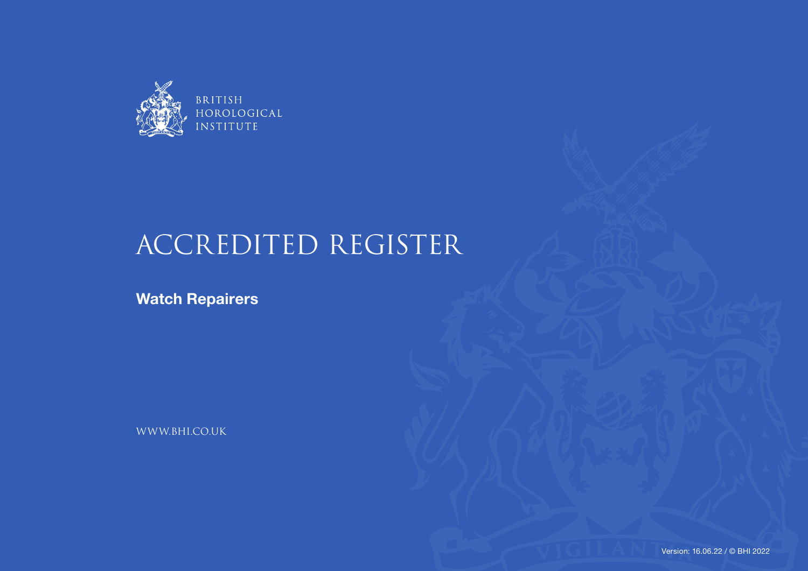

## ACCREDITED REGISTER

**Watch Repairers**

WWW.BHI.CO.UK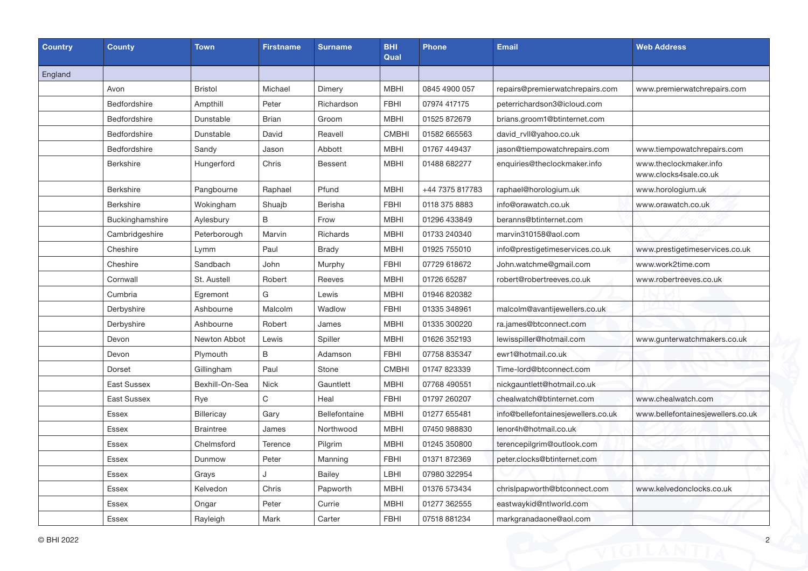| <b>Country</b> | <b>County</b>      | <b>Town</b>       | <b>Firstname</b> | <b>Surname</b> | <b>BHI</b><br>Qual | <b>Phone</b>    | <b>Email</b>                       | <b>Web Address</b>                              |
|----------------|--------------------|-------------------|------------------|----------------|--------------------|-----------------|------------------------------------|-------------------------------------------------|
| England        |                    |                   |                  |                |                    |                 |                                    |                                                 |
|                | Avon               | <b>Bristol</b>    | Michael          | Dimery         | <b>MBHI</b>        | 0845 4900 057   | repairs@premierwatchrepairs.com    | www.premierwatchrepairs.com                     |
|                | Bedfordshire       | Ampthill          | Peter            | Richardson     | <b>FBHI</b>        | 07974 417175    | peterrichardson3@icloud.com        |                                                 |
|                | Bedfordshire       | Dunstable         | Brian            | Groom          | <b>MBHI</b>        | 01525 872679    | brians.groom1@btinternet.com       |                                                 |
|                | Bedfordshire       | Dunstable         | David            | Reavell        | <b>CMBHI</b>       | 01582 665563    | david_rvll@yahoo.co.uk             |                                                 |
|                | Bedfordshire       | Sandy             | Jason            | Abbott         | <b>MBHI</b>        | 01767 449437    | jason@tiempowatchrepairs.com       | www.tiempowatchrepairs.com                      |
|                | <b>Berkshire</b>   | Hungerford        | Chris            | Bessent        | <b>MBHI</b>        | 01488 682277    | enquiries@theclockmaker.info       | www.theclockmaker.info<br>www.clocks4sale.co.uk |
|                | <b>Berkshire</b>   | Pangbourne        | Raphael          | Pfund          | <b>MBHI</b>        | +44 7375 817783 | raphael@horologium.uk              | www.horologium.uk                               |
|                | <b>Berkshire</b>   | Wokingham         | Shuajb           | Berisha        | <b>FBHI</b>        | 0118 375 8883   | info@orawatch.co.uk                | www.orawatch.co.uk                              |
|                | Buckinghamshire    | Aylesbury         | B                | Frow           | <b>MBHI</b>        | 01296 433849    | beranns@btinternet.com             |                                                 |
|                | Cambridgeshire     | Peterborough      | Marvin           | Richards       | <b>MBHI</b>        | 01733 240340    | marvin310158@aol.com               |                                                 |
|                | Cheshire           | Lymm              | Paul             | <b>Brady</b>   | <b>MBHI</b>        | 01925 755010    | info@prestigetimeservices.co.uk    | www.prestigetimeservices.co.uk                  |
|                | Cheshire           | Sandbach          | John             | Murphy         | <b>FBHI</b>        | 07729 618672    | John.watchme@gmail.com             | www.work2time.com                               |
|                | Cornwall           | St. Austell       | Robert           | Reeves         | <b>MBHI</b>        | 01726 65287     | robert@robertreeves.co.uk          | www.robertreeves.co.uk                          |
|                | Cumbria            | Egremont          | G                | Lewis          | <b>MBHI</b>        | 01946 820382    |                                    |                                                 |
|                | Derbyshire         | Ashbourne         | Malcolm          | Wadlow         | <b>FBHI</b>        | 01335 348961    | malcolm@avantijewellers.co.uk      |                                                 |
|                | Derbyshire         | Ashbourne         | Robert           | James          | <b>MBHI</b>        | 01335 300220    | ra.james@btconnect.com             |                                                 |
|                | Devon              | Newton Abbot      | Lewis            | Spiller        | <b>MBHI</b>        | 01626 352193    | lewisspiller@hotmail.com           | www.gunterwatchmakers.co.uk                     |
|                | Devon              | Plymouth          | B                | Adamson        | <b>FBHI</b>        | 07758 835347    | ewr1@hotmail.co.uk                 |                                                 |
|                | Dorset             | Gillingham        | Paul             | Stone          | <b>CMBHI</b>       | 01747 823339    | Time-lord@btconnect.com            |                                                 |
|                | <b>East Sussex</b> | Bexhill-On-Sea    | <b>Nick</b>      | Gauntlett      | <b>MBHI</b>        | 07768 490551    | nickgauntlett@hotmail.co.uk        |                                                 |
|                | <b>East Sussex</b> | Rye               | C                | Heal           | <b>FBHI</b>        | 01797 260207    | chealwatch@btinternet.com          | www.chealwatch.com                              |
|                | <b>Essex</b>       | <b>Billericay</b> | Gary             | Bellefontaine  | <b>MBHI</b>        | 01277 655481    | info@bellefontainesjewellers.co.uk | www.bellefontainesjewellers.co.uk               |
|                | Essex              | <b>Braintree</b>  | James            | Northwood      | <b>MBHI</b>        | 07450 988830    | lenor4h@hotmail.co.uk              |                                                 |
|                | Essex              | Chelmsford        | Terence          | Pilgrim        | <b>MBHI</b>        | 01245 350800    | terencepilgrim@outlook.com         |                                                 |
|                | Essex              | Dunmow            | Peter            | Manning        | <b>FBHI</b>        | 01371 872369    | peter.clocks@btinternet.com        |                                                 |
|                | Essex              | Grays             | J                | Bailey         | LBHI               | 07980 322954    |                                    |                                                 |
|                | Essex              | Kelvedon          | Chris            | Papworth       | <b>MBHI</b>        | 01376 573434    | chrislpapworth@btconnect.com       | www.kelvedonclocks.co.uk                        |
|                | <b>Essex</b>       | Ongar             | Peter            | Currie         | <b>MBHI</b>        | 01277 362555    | eastwaykid@ntlworld.com            |                                                 |
|                | Essex              | Rayleigh          | Mark             | Carter         | <b>FBHI</b>        | 07518 881234    | markgranadaone@aol.com             |                                                 |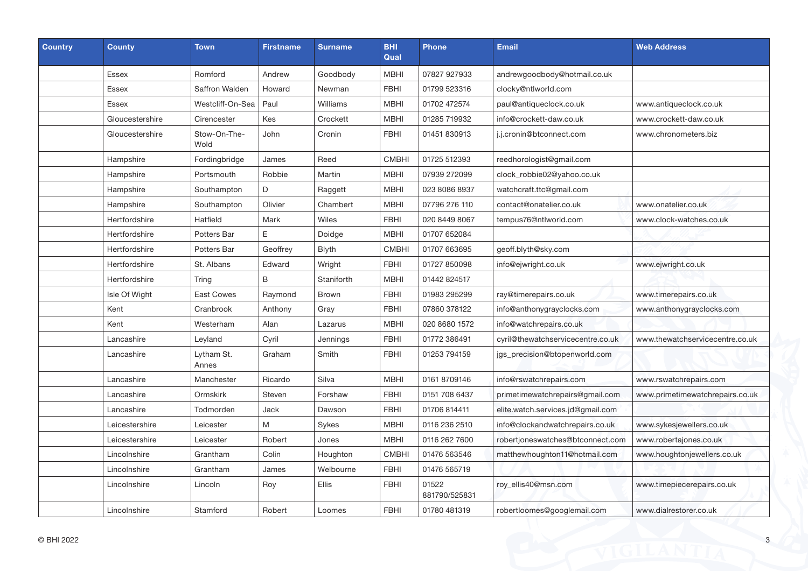| <b>Country</b> | <b>County</b>   | <b>Town</b>          | <b>Firstname</b> | <b>Surname</b> | <b>BHI</b><br>Qual | <b>Phone</b>           | <b>Email</b>                      | <b>Web Address</b>              |
|----------------|-----------------|----------------------|------------------|----------------|--------------------|------------------------|-----------------------------------|---------------------------------|
|                | <b>Essex</b>    | Romford              | Andrew           | Goodbody       | <b>MBHI</b>        | 07827 927933           | andrewgoodbody@hotmail.co.uk      |                                 |
|                | <b>Essex</b>    | Saffron Walden       | Howard           | Newman         | <b>FBHI</b>        | 01799 523316           | clocky@ntlworld.com               |                                 |
|                | Essex           | Westcliff-On-Sea     | Paul             | Williams       | <b>MBHI</b>        | 01702 472574           | paul@antiqueclock.co.uk           | www.antiqueclock.co.uk          |
|                | Gloucestershire | Cirencester          | Kes              | Crockett       | <b>MBHI</b>        | 01285 719932           | info@crockett-daw.co.uk           | www.crockett-daw.co.uk          |
|                | Gloucestershire | Stow-On-The-<br>Wold | John             | Cronin         | <b>FBHI</b>        | 01451 830913           | j.j.cronin@btconnect.com          | www.chronometers.biz            |
|                | Hampshire       | Fordingbridge        | James            | Reed           | <b>CMBHI</b>       | 01725 512393           | reedhorologist@gmail.com          |                                 |
|                | Hampshire       | Portsmouth           | Robbie           | Martin         | <b>MBHI</b>        | 07939 272099           | clock_robbie02@yahoo.co.uk        |                                 |
|                | Hampshire       | Southampton          | D                | Raggett        | MBHI               | 023 8086 8937          | watchcraft.ttc@gmail.com          |                                 |
|                | Hampshire       | Southampton          | Olivier          | Chambert       | <b>MBHI</b>        | 07796 276 110          | contact@onatelier.co.uk           | www.onatelier.co.uk             |
|                | Hertfordshire   | Hatfield             | Mark             | Wiles          | <b>FBHI</b>        | 020 8449 8067          | tempus76@ntlworld.com             | www.clock-watches.co.uk         |
|                | Hertfordshire   | Potters Bar          | E                | Doidge         | <b>MBHI</b>        | 01707 652084           |                                   |                                 |
|                | Hertfordshire   | Potters Bar          | Geoffrey         | <b>Blyth</b>   | <b>CMBHI</b>       | 01707 663695           | geoff.blyth@sky.com               |                                 |
|                | Hertfordshire   | St. Albans           | Edward           | Wright         | <b>FBHI</b>        | 01727 850098           | info@ejwright.co.uk               | www.ejwright.co.uk              |
|                | Hertfordshire   | Tring                | B                | Staniforth     | <b>MBHI</b>        | 01442 824517           |                                   |                                 |
|                | Isle Of Wight   | <b>East Cowes</b>    | Raymond          | <b>Brown</b>   | <b>FBHI</b>        | 01983 295299           | ray@timerepairs.co.uk             | www.timerepairs.co.uk           |
|                | Kent            | Cranbrook            | Anthony          | Gray           | <b>FBHI</b>        | 07860 378122           | info@anthonygrayclocks.com        | www.anthonygrayclocks.com       |
|                | Kent            | Westerham            | Alan             | Lazarus        | <b>MBHI</b>        | 020 8680 1572          | info@watchrepairs.co.uk           |                                 |
|                | Lancashire      | Leyland              | Cyril            | Jennings       | <b>FBHI</b>        | 01772 386491           | cyril@thewatchservicecentre.co.uk | www.thewatchservicecentre.co.uk |
|                | Lancashire      | Lytham St.<br>Annes  | Graham           | Smith          | <b>FBHI</b>        | 01253 794159           | jgs_precision@btopenworld.com     |                                 |
|                | Lancashire      | Manchester           | Ricardo          | Silva          | <b>MBHI</b>        | 0161 8709146           | info@rswatchrepairs.com           | www.rswatchrepairs.com          |
|                | Lancashire      | Ormskirk             | Steven           | Forshaw        | <b>FBHI</b>        | 0151 708 6437          | primetimewatchrepairs@gmail.com   | www.primetimewatchrepairs.co.uk |
|                | Lancashire      | Todmorden            | Jack             | Dawson         | <b>FBHI</b>        | 01706 814411           | elite.watch.services.jd@gmail.com |                                 |
|                | Leicestershire  | Leicester            | M                | Sykes          | <b>MBHI</b>        | 0116 236 2510          | info@clockandwatchrepairs.co.uk   | www.sykesjewellers.co.uk        |
|                | Leicestershire  | Leicester            | Robert           | Jones          | MBHI               | 0116 262 7600          | robertjoneswatches@btconnect.com  | www.robertajones.co.uk          |
|                | Lincolnshire    | Grantham             | Colin            | Houghton       | <b>CMBHI</b>       | 01476 563546           | matthewhoughton11@hotmail.com     | www.houghtonjewellers.co.uk     |
|                | Lincolnshire    | Grantham             | James            | Welbourne      | <b>FBHI</b>        | 01476 565719           |                                   |                                 |
|                | Lincolnshire    | Lincoln              | Roy              | Ellis          | <b>FBHI</b>        | 01522<br>881790/525831 | roy_ellis40@msn.com               | www.timepiecerepairs.co.uk      |
|                | Lincolnshire    | Stamford             | Robert           | Loomes         | <b>FBHI</b>        | 01780 481319           | robertloomes@googlemail.com       | www.dialrestorer.co.uk          |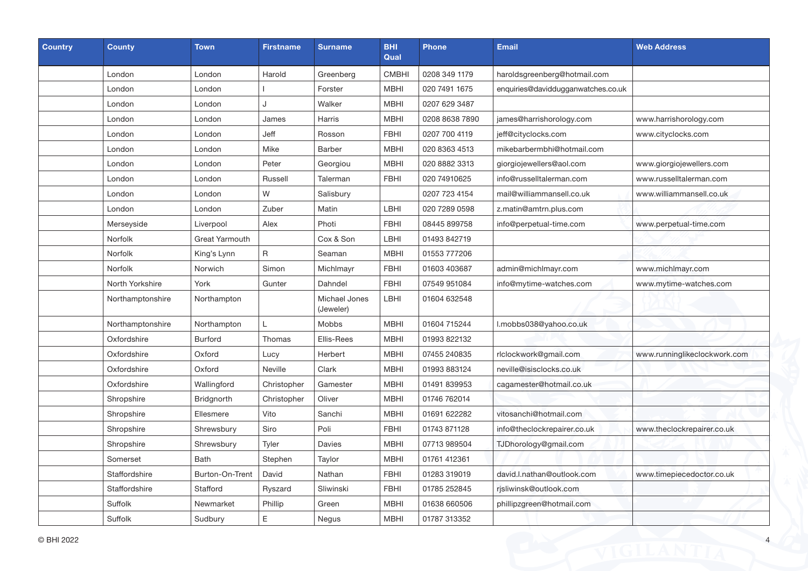| <b>Country</b> | <b>County</b>    | Town            | <b>Firstname</b> | <b>Surname</b>             | <b>BHI</b><br>Qual | <b>Phone</b>   | <b>Email</b>                       | <b>Web Address</b>           |
|----------------|------------------|-----------------|------------------|----------------------------|--------------------|----------------|------------------------------------|------------------------------|
|                | London           | London          | Harold           | Greenberg                  | <b>CMBHI</b>       | 0208 349 1179  | haroldsgreenberg@hotmail.com       |                              |
|                | London           | London          |                  | Forster                    | <b>MBHI</b>        | 020 7491 1675  | enquiries@daviddugganwatches.co.uk |                              |
|                | London           | London          | J                | Walker                     | <b>MBHI</b>        | 0207 629 3487  |                                    |                              |
|                | London           | London          | James            | Harris                     | <b>MBHI</b>        | 0208 8638 7890 | james@harrishorology.com           | www.harrishorology.com       |
|                | London           | London          | Jeff             | Rosson                     | <b>FBHI</b>        | 0207 700 4119  | jeff@cityclocks.com                | www.cityclocks.com           |
|                | London           | London          | Mike             | <b>Barber</b>              | <b>MBHI</b>        | 020 8363 4513  | mikebarbermbhi@hotmail.com         |                              |
|                | London           | London          | Peter            | Georgiou                   | <b>MBHI</b>        | 020 8882 3313  | giorgiojewellers@aol.com           | www.giorgiojewellers.com     |
|                | London           | London          | Russell          | Talerman                   | <b>FBHI</b>        | 020 74910625   | info@russelltalerman.com           | www.russelltalerman.com      |
|                | London           | London          | W                | Salisbury                  |                    | 0207 723 4154  | mail@williammansell.co.uk          | www.williammansell.co.uk     |
|                | London           | London          | Zuber            | Matin                      | LBHI               | 020 7289 0598  | z.matin@amtrn.plus.com             |                              |
|                | Merseyside       | Liverpool       | Alex             | Photi                      | <b>FBHI</b>        | 08445 899758   | info@perpetual-time.com            | www.perpetual-time.com       |
|                | Norfolk          | Great Yarmouth  |                  | Cox & Son                  | LBHI               | 01493 842719   |                                    |                              |
|                | Norfolk          | King's Lynn     | $\mathsf R$      | Seaman                     | <b>MBHI</b>        | 01553 777206   |                                    |                              |
|                | Norfolk          | Norwich         | Simon            | Michlmayr                  | <b>FBHI</b>        | 01603 403687   | admin@michlmayr.com                | www.michlmayr.com            |
|                | North Yorkshire  | York            | Gunter           | Dahndel                    | <b>FBHI</b>        | 07549 951084   | info@mytime-watches.com            | www.mytime-watches.com       |
|                | Northamptonshire | Northampton     |                  | Michael Jones<br>(Jeweler) | LBHI               | 01604 632548   |                                    |                              |
|                | Northamptonshire | Northampton     | L                | Mobbs                      | <b>MBHI</b>        | 01604 715244   | l.mobbs038@yahoo.co.uk             |                              |
|                | Oxfordshire      | <b>Burford</b>  | Thomas           | Ellis-Rees                 | <b>MBHI</b>        | 01993 822132   |                                    |                              |
|                | Oxfordshire      | Oxford          | Lucy             | Herbert                    | <b>MBHI</b>        | 07455 240835   | rlclockwork@gmail.com              | www.runninglikeclockwork.com |
|                | Oxfordshire      | Oxford          | Neville          | Clark                      | <b>MBHI</b>        | 01993 883124   | neville@isisclocks.co.uk           |                              |
|                | Oxfordshire      | Wallingford     | Christopher      | Gamester                   | <b>MBHI</b>        | 01491 839953   | cagamester@hotmail.co.uk           |                              |
|                | Shropshire       | Bridgnorth      | Christopher      | Oliver                     | <b>MBHI</b>        | 01746 762014   |                                    |                              |
|                | Shropshire       | Ellesmere       | Vito             | Sanchi                     | <b>MBHI</b>        | 01691 622282   | vitosanchi@hotmail.com             |                              |
|                | Shropshire       | Shrewsbury      | Siro             | Poli                       | <b>FBHI</b>        | 01743 871128   | info@theclockrepairer.co.uk        | www.theclockrepairer.co.uk   |
|                | Shropshire       | Shrewsbury      | Tyler            | Davies                     | <b>MBHI</b>        | 07713 989504   | TJDhorology@gmail.com              |                              |
|                | Somerset         | <b>Bath</b>     | Stephen          | Taylor                     | <b>MBHI</b>        | 01761 412361   |                                    |                              |
|                | Staffordshire    | Burton-On-Trent | David            | Nathan                     | <b>FBHI</b>        | 01283 319019   | david.l.nathan@outlook.com         | www.timepiecedoctor.co.uk    |
|                | Staffordshire    | Stafford        | Ryszard          | Sliwinski                  | <b>FBHI</b>        | 01785 252845   | rjsliwinsk@outlook.com             |                              |
|                | Suffolk          | Newmarket       | Phillip          | Green                      | <b>MBHI</b>        | 01638 660506   | phillipzgreen@hotmail.com          |                              |
|                | Suffolk          | Sudbury         | $\mathsf E$      | Negus                      | <b>MBHI</b>        | 01787 313352   |                                    |                              |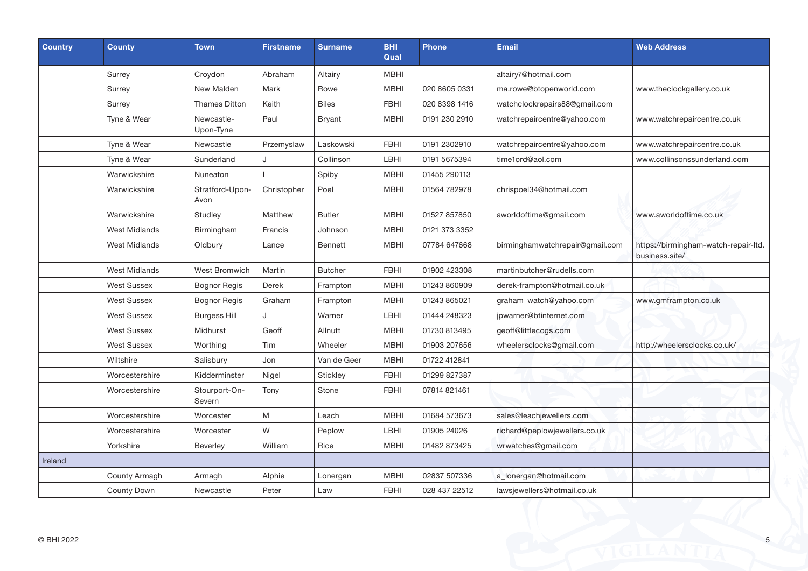| <b>Country</b> | <b>County</b>        | <b>Town</b>             | <b>Firstname</b> | <b>Surname</b> | <b>BHI</b><br>Qual | <b>Phone</b>  | <b>Email</b>                    | <b>Web Address</b>                                     |
|----------------|----------------------|-------------------------|------------------|----------------|--------------------|---------------|---------------------------------|--------------------------------------------------------|
|                | Surrey               | Croydon                 | Abraham          | Altairy        | MBHI               |               | altairy7@hotmail.com            |                                                        |
|                | Surrey               | New Malden              | Mark             | Rowe           | <b>MBHI</b>        | 020 8605 0331 | ma.rowe@btopenworld.com         | www.theclockgallery.co.uk                              |
|                | Surrey               | <b>Thames Ditton</b>    | Keith            | <b>Biles</b>   | <b>FBHI</b>        | 020 8398 1416 | watchclockrepairs88@gmail.com   |                                                        |
|                | Tyne & Wear          | Newcastle-<br>Upon-Tyne | Paul             | Bryant         | <b>MBHI</b>        | 0191 230 2910 | watchrepaircentre@yahoo.com     | www.watchrepaircentre.co.uk                            |
|                | Tyne & Wear          | Newcastle               | Przemyslaw       | Laskowski      | <b>FBHI</b>        | 0191 2302910  | watchrepaircentre@yahoo.com     | www.watchrepaircentre.co.uk                            |
|                | Tyne & Wear          | Sunderland              | J                | Collinson      | LBHI               | 0191 5675394  | time1ord@aol.com                | www.collinsonssunderland.com                           |
|                | Warwickshire         | Nuneaton                |                  | Spiby          | <b>MBHI</b>        | 01455 290113  |                                 |                                                        |
|                | Warwickshire         | Stratford-Upon-<br>Avon | Christopher      | Poel           | <b>MBHI</b>        | 01564 782978  | chrispoel34@hotmail.com         |                                                        |
|                | Warwickshire         | Studley                 | Matthew          | <b>Butler</b>  | <b>MBHI</b>        | 01527 857850  | aworldoftime@gmail.com          | www.aworldoftime.co.uk                                 |
|                | <b>West Midlands</b> | Birmingham              | Francis          | Johnson        | <b>MBHI</b>        | 0121 373 3352 |                                 |                                                        |
|                | <b>West Midlands</b> | Oldbury                 | Lance            | Bennett        | <b>MBHI</b>        | 07784 647668  | birminghamwatchrepair@gmail.com | https://birmingham-watch-repair-ltd.<br>business.site/ |
|                | <b>West Midlands</b> | West Bromwich           | Martin           | <b>Butcher</b> | <b>FBHI</b>        | 01902 423308  | martinbutcher@rudells.com       |                                                        |
|                | <b>West Sussex</b>   | <b>Bognor Regis</b>     | Derek            | Frampton       | <b>MBHI</b>        | 01243 860909  | derek-frampton@hotmail.co.uk    |                                                        |
|                | <b>West Sussex</b>   | <b>Bognor Regis</b>     | Graham           | Frampton       | <b>MBHI</b>        | 01243 865021  | graham_watch@yahoo.com          | www.gmframpton.co.uk                                   |
|                | <b>West Sussex</b>   | <b>Burgess Hill</b>     | $\cdot$          | Warner         | LBHI               | 01444 248323  | ipwarner@btinternet.com         |                                                        |
|                | <b>West Sussex</b>   | Midhurst                | Geoff            | Allnutt        | <b>MBHI</b>        | 01730 813495  | geoff@littlecogs.com            |                                                        |
|                | <b>West Sussex</b>   | Worthing                | Tim              | Wheeler        | <b>MBHI</b>        | 01903 207656  | wheelersclocks@gmail.com        | http://wheelersclocks.co.uk/                           |
|                | Wiltshire            | Salisbury               | Jon              | Van de Geer    | <b>MBHI</b>        | 01722 412841  |                                 |                                                        |
|                | Worcestershire       | Kidderminster           | Nigel            | Stickley       | <b>FBHI</b>        | 01299 827387  |                                 |                                                        |
|                | Worcestershire       | Stourport-On-<br>Severn | Tony             | Stone          | <b>FBHI</b>        | 07814 821461  |                                 |                                                        |
|                | Worcestershire       | Worcester               | M                | Leach          | <b>MBHI</b>        | 01684 573673  | sales@leachjewellers.com        |                                                        |
|                | Worcestershire       | Worcester               | W                | Peplow         | LBHI               | 01905 24026   | richard@peplowjewellers.co.uk   |                                                        |
|                | Yorkshire            | Beverley                | William          | Rice           | <b>MBHI</b>        | 01482 873425  | wrwatches@gmail.com             |                                                        |
| Ireland        |                      |                         |                  |                |                    |               |                                 |                                                        |
|                | County Armagh        | Armagh                  | Alphie           | Lonergan       | <b>MBHI</b>        | 02837 507336  | a_lonergan@hotmail.com          |                                                        |
|                | <b>County Down</b>   | Newcastle               | Peter            | Law            | <b>FBHI</b>        | 028 437 22512 | lawsjewellers@hotmail.co.uk     |                                                        |